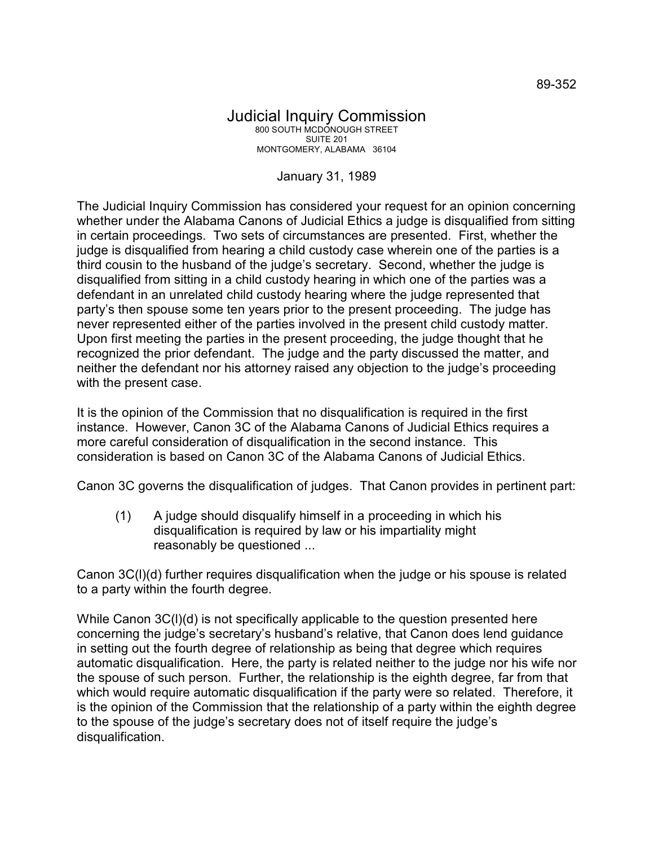## Judicial Inquiry Commission 800 SOUTH MCDONOUGH STREET SUITE 201 MONTGOMERY, ALABAMA 36104

## January 31, 1989

The Judicial Inquiry Commission has considered your request for an opinion concerning whether under the Alabama Canons of Judicial Ethics a judge is disqualified from sitting in certain proceedings. Two sets of circumstances are presented. First, whether the judge is disqualified from hearing a child custody case wherein one of the parties is a third cousin to the husband of the judge's secretary. Second, whether the judge is disqualified from sitting in a child custody hearing in which one of the parties was a defendant in an unrelated child custody hearing where the judge represented that party's then spouse some ten years prior to the present proceeding. The judge has never represented either of the parties involved in the present child custody matter. Upon first meeting the parties in the present proceeding, the judge thought that he recognized the prior defendant. The judge and the party discussed the matter, and neither the defendant nor his attorney raised any objection to the judge's proceeding with the present case.

It is the opinion of the Commission that no disqualification is required in the first instance. However, Canon 3C of the Alabama Canons of Judicial Ethics requires a more careful consideration of disqualification in the second instance. This consideration is based on Canon 3C of the Alabama Canons of Judicial Ethics.

Canon 3C governs the disqualification of judges. That Canon provides in pertinent part:

(1) A judge should disqualify himself in a proceeding in which his disqualification is required by law or his impartiality might reasonably be questioned ...

Canon 3C(l)(d) further requires disqualification when the judge or his spouse is related to a party within the fourth degree.

While Canon 3C(I)(d) is not specifically applicable to the question presented here concerning the judge's secretary's husband's relative, that Canon does lend guidance in setting out the fourth degree of relationship as being that degree which requires automatic disqualification. Here, the party is related neither to the judge nor his wife nor the spouse of such person. Further, the relationship is the eighth degree, far from that which would require automatic disqualification if the party were so related. Therefore, it is the opinion of the Commission that the relationship of a party within the eighth degree to the spouse of the judge's secretary does not of itself require the judge's disqualification.